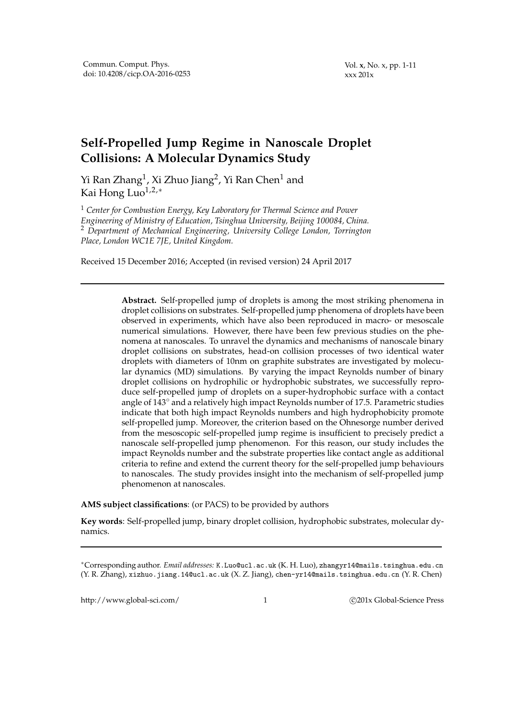Vol. **x**, No. x, pp. 1-11 xxx 201x

# **Self-Propelled Jump Regime in Nanoscale Droplet Collisions: A Molecular Dynamics Study**

Yi Ran Zhang $^1$ , Xi Zhuo Jiang $^2$ , Yi Ran Chen $^1$  and Kai Hong Luo $1,2,*$ 

<sup>1</sup> *Center for Combustion Energy, Key Laboratory for Thermal Science and Power Engineering of Ministry of Education, Tsinghua University, Beijing 100084, China.* <sup>2</sup> *Department of Mechanical Engineering, University College London, Torrington Place, London WC1E 7JE, United Kingdom.*

Received 15 December 2016; Accepted (in revised version) 24 April 2017

**Abstract.** Self-propelled jump of droplets is among the most striking phenomena in droplet collisions on substrates. Self-propelled jump phenomena of droplets have been observed in experiments, which have also been reproduced in macro- or mesoscale numerical simulations. However, there have been few previous studies on the phenomena at nanoscales. To unravel the dynamics and mechanisms of nanoscale binary droplet collisions on substrates, head-on collision processes of two identical water droplets with diameters of 10nm on graphite substrates are investigated by molecular dynamics (MD) simulations. By varying the impact Reynolds number of binary droplet collisions on hydrophilic or hydrophobic substrates, we successfully reproduce self-propelled jump of droplets on a super-hydrophobic surface with a contact angle of  $143^\circ$  and a relatively high impact Reynolds number of 17.5. Parametric studies indicate that both high impact Reynolds numbers and high hydrophobicity promote self-propelled jump. Moreover, the criterion based on the Ohnesorge number derived from the mesoscopic self-propelled jump regime is insufficient to precisely predict a nanoscale self-propelled jump phenomenon. For this reason, our study includes the impact Reynolds number and the substrate properties like contact angle as additional criteria to refine and extend the current theory for the self-propelled jump behaviours to nanoscales. The study provides insight into the mechanism of self-propelled jump phenomenon at nanoscales.

**AMS subject classifications**: (or PACS) to be provided by authors

**Key words**: Self-propelled jump, binary droplet collision, hydrophobic substrates, molecular dynamics.

http://www.global-sci.com/ 1 c 201x Global-Science Press

<sup>∗</sup>Corresponding author. *Email addresses:* K.Luo@ucl.ac.uk (K. H. Luo), zhangyr14@mails.tsinghua.edu.cn (Y. R. Zhang), xizhuo.jiang.14@ucl.ac.uk (X. Z. Jiang), chen-yr14@mails.tsinghua.edu.cn (Y. R. Chen)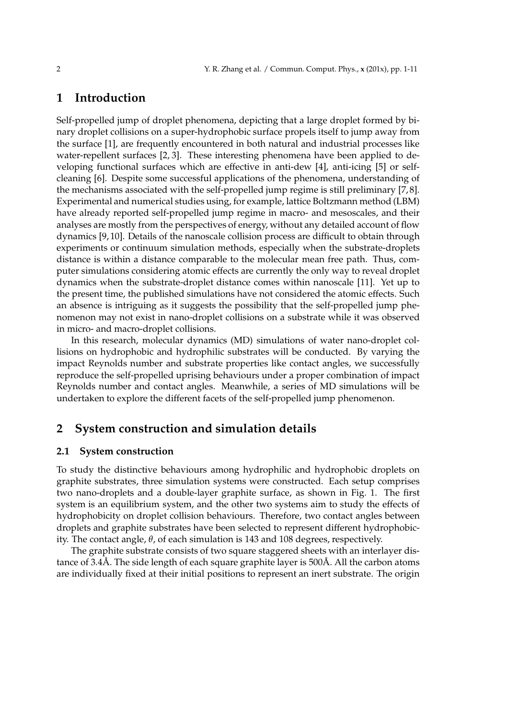## **1 Introduction**

Self-propelled jump of droplet phenomena, depicting that a large droplet formed by binary droplet collisions on a super-hydrophobic surface propels itself to jump away from the surface [1], are frequently encountered in both natural and industrial processes like water-repellent surfaces [2, 3]. These interesting phenomena have been applied to developing functional surfaces which are effective in anti-dew [4], anti-icing [5] or selfcleaning [6]. Despite some successful applications of the phenomena, understanding of the mechanisms associated with the self-propelled jump regime is still preliminary [7, 8]. Experimental and numerical studies using, for example, lattice Boltzmann method (LBM) have already reported self-propelled jump regime in macro- and mesoscales, and their analyses are mostly from the perspectives of energy, without any detailed account of flow dynamics [9, 10]. Details of the nanoscale collision process are difficult to obtain through experiments or continuum simulation methods, especially when the substrate-droplets distance is within a distance comparable to the molecular mean free path. Thus, computer simulations considering atomic effects are currently the only way to reveal droplet dynamics when the substrate-droplet distance comes within nanoscale [11]. Yet up to the present time, the published simulations have not considered the atomic effects. Such an absence is intriguing as it suggests the possibility that the self-propelled jump phenomenon may not exist in nano-droplet collisions on a substrate while it was observed in micro- and macro-droplet collisions.

In this research, molecular dynamics (MD) simulations of water nano-droplet collisions on hydrophobic and hydrophilic substrates will be conducted. By varying the impact Reynolds number and substrate properties like contact angles, we successfully reproduce the self-propelled uprising behaviours under a proper combination of impact Reynolds number and contact angles. Meanwhile, a series of MD simulations will be undertaken to explore the different facets of the self-propelled jump phenomenon.

## **2 System construction and simulation details**

## **2.1 System construction**

To study the distinctive behaviours among hydrophilic and hydrophobic droplets on graphite substrates, three simulation systems were constructed. Each setup comprises two nano-droplets and a double-layer graphite surface, as shown in Fig. 1. The first system is an equilibrium system, and the other two systems aim to study the effects of hydrophobicity on droplet collision behaviours. Therefore, two contact angles between droplets and graphite substrates have been selected to represent different hydrophobicity. The contact angle, *θ*, of each simulation is 143 and 108 degrees, respectively.

The graphite substrate consists of two square staggered sheets with an interlayer distance of 3.4Å. The side length of each square graphite layer is  $500\text{\AA}$ . All the carbon atoms are individually fixed at their initial positions to represent an inert substrate. The origin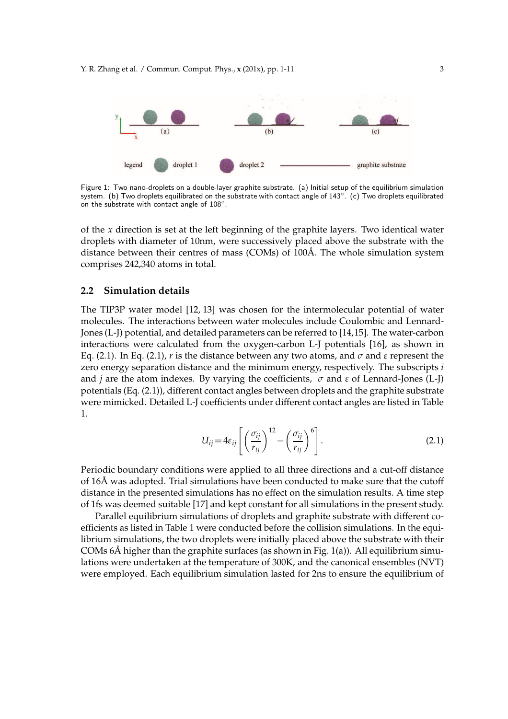

Figure 1: Two nano-droplets on a double-layer graphite substrate. (a) Initial setup of the equilibrium simulation system. (b) Two droplets equilibrated on the substrate with contact angle of 143◦ . (c) Two droplets equilibrated  $\frac{1}{2}$  on the substrate with contact angle of  $108^\circ$ .

of the *x* direction is set at the left beginning of the graphite layers. Two identical water droplets with diameter of 10nm, were successively placed above the substrate with the distance between their centres of mass (COMs) of  $100\text{\AA}$ . The whole simulation system comprises 242,340 atoms in total.

### **2.2 Simulation details**

The TIP3P water model [12, 13] was chosen for the intermolecular potential of water molecules. The interactions between water molecules include Coulombic and Lennard-Jones (L-J) potential, and detailed parameters can be referred to [14,15]. The water-carbon interactions were calculated from the oxygen-carbon L-J potentials [16], as shown in Eq. (2.1). In Eq. (2.1), *r* is the distance between any two atoms, and *σ* and *ε* represent the zero energy separation distance and the minimum energy, respectively. The subscripts *i* and *j* are the atom indexes. By varying the coefficients, *σ* and *ε* of Lennard-Jones (L-J) potentials (Eq. (2.1)), different contact angles between droplets and the graphite substrate were mimicked. Detailed L-J coefficients under different contact angles are listed in Table 1.

$$
U_{ij} = 4\varepsilon_{ij} \left[ \left( \frac{\sigma_{ij}}{r_{ij}} \right)^{12} - \left( \frac{\sigma_{ij}}{r_{ij}} \right)^{6} \right].
$$
 (2.1)

Periodic boundary conditions were applied to all three directions and a cut-off distance of 16Å was adopted. Trial simulations have been conducted to make sure that the cutoff distance in the presented simulations has no effect on the simulation results. A time step of 1fs was deemed suitable [17] and kept constant for all simulations in the present study.

Parallel equilibrium simulations of droplets and graphite substrate with different coefficients as listed in Table 1 were conducted before the collision simulations. In the equilibrium simulations, the two droplets were initially placed above the substrate with their COMs  $6\text{\AA}$  higher than the graphite surfaces (as shown in Fig. 1(a)). All equilibrium simulations were undertaken at the temperature of 300K, and the canonical ensembles (NVT) were employed. Each equilibrium simulation lasted for 2ns to ensure the equilibrium of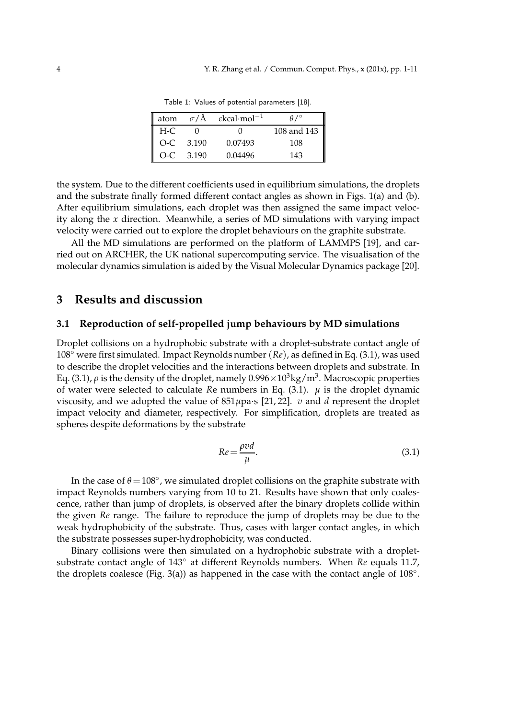| atom  |             | $\sigma/\rm{A}$ $\epsilon$ kcal·mol <sup>-1</sup> | $\theta$ / $\circ$ |
|-------|-------------|---------------------------------------------------|--------------------|
| $H-C$ |             | 0                                                 | 108 and 143        |
|       | $O-C$ 3.190 | 0.07493                                           | 108                |
| $O-C$ | 3.190       | 0.04496                                           | 143                |

Table 1: Values of potential parameters [18].

the system. Due to the different coefficients used in equilibrium simulations, the droplets and the substrate finally formed different contact angles as shown in Figs. 1(a) and (b). After equilibrium simulations, each droplet was then assigned the same impact velocity along the *x* direction. Meanwhile, a series of MD simulations with varying impact velocity were carried out to explore the droplet behaviours on the graphite substrate.

All the MD simulations are performed on the platform of LAMMPS [19], and carried out on ARCHER, the UK national supercomputing service. The visualisation of the molecular dynamics simulation is aided by the Visual Molecular Dynamics package [20].

## **3 Results and discussion**

#### **3.1 Reproduction of self-propelled jump behaviours by MD simulations**

Droplet collisions on a hydrophobic substrate with a droplet-substrate contact angle of 108◦ were first simulated. Impact Reynolds number (*Re*), as defined in Eq. (3.1), was used to describe the droplet velocities and the interactions between droplets and substrate. In Eq. (3.1),  $\rho$  is the density of the droplet, namely  $0.996 \times 10^3$ kg/m<sup>3</sup>. Macroscopic properties of water were selected to calculate *Re* numbers in Eq.  $(3.1)$ .  $\mu$  is the droplet dynamic viscosity, and we adopted the value of 851*µ*pa·s [21, 22]. *v* and *d* represent the droplet impact velocity and diameter, respectively. For simplification, droplets are treated as spheres despite deformations by the substrate

$$
Re = \frac{\rho v d}{\mu}.
$$
\n(3.1)

In the case of  $\theta$  = 108°, we simulated droplet collisions on the graphite substrate with impact Reynolds numbers varying from 10 to 21. Results have shown that only coalescence, rather than jump of droplets, is observed after the binary droplets collide within the given *Re* range. The failure to reproduce the jump of droplets may be due to the weak hydrophobicity of the substrate. Thus, cases with larger contact angles, in which the substrate possesses super-hydrophobicity, was conducted.

Binary collisions were then simulated on a hydrophobic substrate with a dropletsubstrate contact angle of 143◦ at different Reynolds numbers. When *Re* equals 11.7, the droplets coalesce (Fig. 3(a)) as happened in the case with the contact angle of  $108°$ .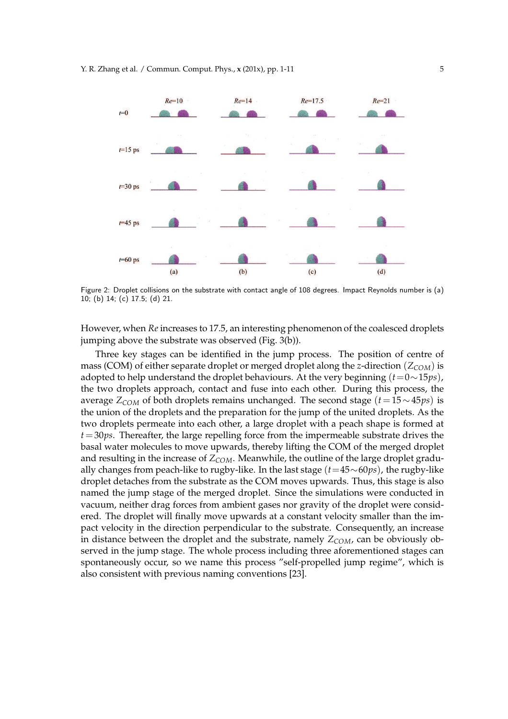

Figure 2: Droplet collisions on the substrate with contact angle of 108 degrees. Impact Reynolds number is (a) 10; (b) 14; (c) 17.5; (d) 21.

However, when *Re* increases to 17.5, an interesting phenomenon of the coalesced droplets jumping above the substrate was observed (Fig. 3(b)).

Three key stages can be identified in the jump process. The position of centre of mass (COM) of either separate droplet or merged droplet along the *z*-direction (*ZCOM*) is adopted to help understand the droplet behaviours. At the very beginning (*t*=0∼15*ps*), the two droplets approach, contact and fuse into each other. During this process, the average *ZCOM* of both droplets remains unchanged. The second stage (*t* =15∼45*ps*) is the union of the droplets and the preparation for the jump of the united droplets. As the two droplets permeate into each other, a large droplet with a peach shape is formed at *t*=30*ps*. Thereafter, the large repelling force from the impermeable substrate drives the basal water molecules to move upwards, thereby lifting the COM of the merged droplet and resulting in the increase of *ZCOM*. Meanwhile, the outline of the large droplet gradually changes from peach-like to rugby-like. In the last stage (*t*=45∼60*ps*), the rugby-like droplet detaches from the substrate as the COM moves upwards. Thus, this stage is also named the jump stage of the merged droplet. Since the simulations were conducted in vacuum, neither drag forces from ambient gases nor gravity of the droplet were considered. The droplet will finally move upwards at a constant velocity smaller than the impact velocity in the direction perpendicular to the substrate. Consequently, an increase in distance between the droplet and the substrate, namely  $Z_{COM}$ , can be obviously observed in the jump stage. The whole process including three aforementioned stages can spontaneously occur, so we name this process "self-propelled jump regime", which is also consistent with previous naming conventions [23].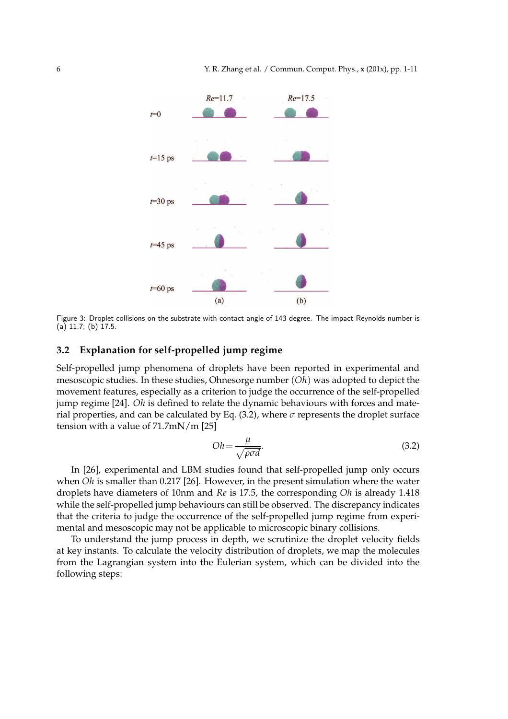

Figure 3: Droplet collisions on the substrate with contact angle of 143 degree. The impact Reynolds number is  $(a)$  11.7; (b) 17.5.

### **3.2 Explanation for self-propelled jump regime**

Self-propelled jump phenomena of droplets have been reported in experimental and mesoscopic studies. In these studies, Ohnesorge number (*Oh*) was adopted to depict the movement features, especially as a criterion to judge the occurrence of the self-propelled jump regime [24]. *Oh* is defined to relate the dynamic behaviours with forces and material properties, and can be calculated by Eq.  $(3.2)$ , where  $\sigma$  represents the droplet surface tension with a value of 71.7mN/m [25]

$$
Oh = \frac{\mu}{\sqrt{\rho \sigma d}}.\tag{3.2}
$$

In [26], experimental and LBM studies found that self-propelled jump only occurs when *Oh* is smaller than 0.217 [26]. However, in the present simulation where the water droplets have diameters of 10nm and *Re* is 17.5, the corresponding *Oh* is already 1.418 while the self-propelled jump behaviours can still be observed. The discrepancy indicates that the criteria to judge the occurrence of the self-propelled jump regime from experimental and mesoscopic may not be applicable to microscopic binary collisions.

To understand the jump process in depth, we scrutinize the droplet velocity fields at key instants. To calculate the velocity distribution of droplets, we map the molecules from the Lagrangian system into the Eulerian system, which can be divided into the following steps: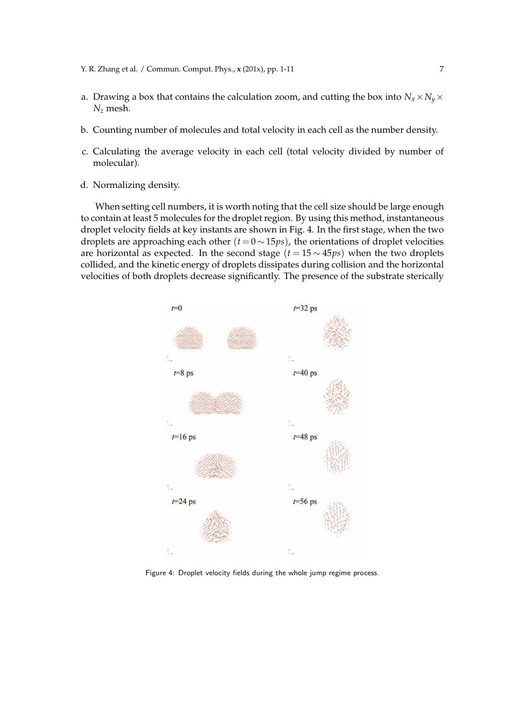- a. Drawing a box that contains the calculation zoom, and cutting the box into  $N_x \times N_y \times$ *N<sup>z</sup>* mesh.
- b. Counting number of molecules and total velocity in each cell as the number density.
- c. Calculating the average velocity in each cell (total velocity divided by number of molecular).
- d. Normalizing density.

When setting cell numbers, it is worth noting that the cell size should be large enough to contain at least 5 molecules for the droplet region. By using this method, instantaneous droplet velocity fields at key instants are shown in Fig. 4. In the first stage, when the two droplets are approaching each other  $(t = 0 \sim 15 \text{ps})$ , the orientations of droplet velocities are horizontal as expected. In the second stage (*t* = 15 ∼ 45*ps*) when the two droplets collided, and the kinetic energy of droplets dissipates during collision and the horizontal velocities of both droplets decrease significantly. The presence of the substrate sterically



Figure 4: Droplet velocity fields during the whole jump regime process.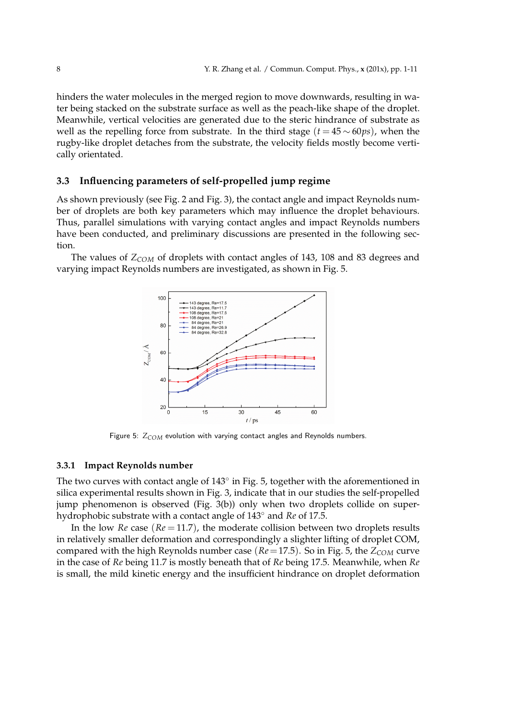hinders the water molecules in the merged region to move downwards, resulting in water being stacked on the substrate surface as well as the peach-like shape of the droplet. Meanwhile, vertical velocities are generated due to the steric hindrance of substrate as well as the repelling force from substrate. In the third stage  $(t = 45 \sim 60 \text{ps})$ , when the rugby-like droplet detaches from the substrate, the velocity fields mostly become vertically orientated.

#### **3.3 Influencing parameters of self-propelled jump regime**

As shown previously (see Fig. 2 and Fig. 3), the contact angle and impact Reynolds num-*ș ș* ber of droplets are both key parameters which may influence the droplet behaviours. Thus, parallel simulations with varying contact angles and impact Reynolds numbers have been conducted, and preliminary discussions are presented in the following section.

The values of *ZCOM* of droplets with contact angles of 143, 108 and 83 degrees and varying impact Reynolds numbers are investigated, as shown in Fig. 5.



Figure 5:  $Z_{COM}$  evolution with varying contact angles and Reynolds numbers.

#### **3.3.1 Impact Reynolds number**

The two curves with contact angle of  $143^{\circ}$  in Fig. 5, together with the aforementioned in silica experimental results shown in Fig. 3, indicate that in our studies the self-propelled jump phenomenon is observed (Fig. 3(b)) only when two droplets collide on superhydrophobic substrate with a contact angle of 143◦ and *Re* of 17.5.

In the low *Re* case  $(Re = 11.7)$ , the moderate collision between two droplets results in relatively smaller deformation and correspondingly a slighter lifting of droplet COM, compared with the high Reynolds number case (*Re*=17.5). So in Fig. 5, the *ZCOM* curve in the case of *Re* being 11.7 is mostly beneath that of *Re* being 17.5. Meanwhile, when *Re* is small, the mild kinetic energy and the insufficient hindrance on droplet deformation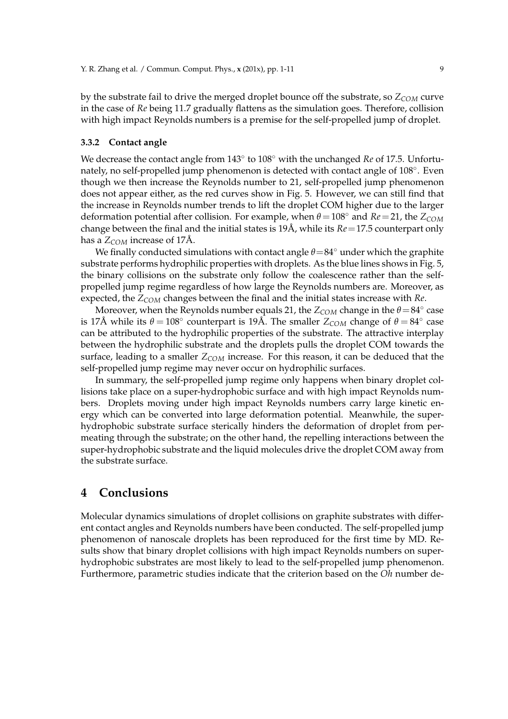by the substrate fail to drive the merged droplet bounce off the substrate, so *ZCOM* curve in the case of *Re* being 11.7 gradually flattens as the simulation goes. Therefore, collision with high impact Reynolds numbers is a premise for the self-propelled jump of droplet.

#### **3.3.2 Contact angle**

We decrease the contact angle from 143◦ to 108◦ with the unchanged *Re* of 17.5. Unfortunately, no self-propelled jump phenomenon is detected with contact angle of 108°. Even though we then increase the Reynolds number to 21, self-propelled jump phenomenon does not appear either, as the red curves show in Fig. 5. However, we can still find that the increase in Reynolds number trends to lift the droplet COM higher due to the larger deformation potential after collision. For example, when *<sup>θ</sup>* <sup>=</sup>108◦ and *Re*=21, the *<sup>Z</sup>COM* change between the final and the initial states is  $19\text{\AA}$ , while its  $Re = 17.5$  counterpart only has a  $Z_{COM}$  increase of 17Å.

We finally conducted simulations with contact angle *θ*=84◦ under which the graphite substrate performs hydrophilic properties with droplets. As the blue lines shows in Fig. 5, the binary collisions on the substrate only follow the coalescence rather than the selfpropelled jump regime regardless of how large the Reynolds numbers are. Moreover, as expected, the *ZCOM* changes between the final and the initial states increase with *Re*.

Moreover, when the Reynolds number equals 21, the  $Z_{COM}$  change in the  $\theta = 84^\circ$  case is 17Å while its  $\theta = 108^\circ$  counterpart is 19Å. The smaller  $\widetilde{Z_{COM}}$  change of  $\theta = 84^\circ$  case can be attributed to the hydrophilic properties of the substrate. The attractive interplay between the hydrophilic substrate and the droplets pulls the droplet COM towards the surface, leading to a smaller *ZCOM* increase. For this reason, it can be deduced that the self-propelled jump regime may never occur on hydrophilic surfaces.

In summary, the self-propelled jump regime only happens when binary droplet collisions take place on a super-hydrophobic surface and with high impact Reynolds numbers. Droplets moving under high impact Reynolds numbers carry large kinetic energy which can be converted into large deformation potential. Meanwhile, the superhydrophobic substrate surface sterically hinders the deformation of droplet from permeating through the substrate; on the other hand, the repelling interactions between the super-hydrophobic substrate and the liquid molecules drive the droplet COM away from the substrate surface.

## **4 Conclusions**

Molecular dynamics simulations of droplet collisions on graphite substrates with different contact angles and Reynolds numbers have been conducted. The self-propelled jump phenomenon of nanoscale droplets has been reproduced for the first time by MD. Results show that binary droplet collisions with high impact Reynolds numbers on superhydrophobic substrates are most likely to lead to the self-propelled jump phenomenon. Furthermore, parametric studies indicate that the criterion based on the *Oh* number de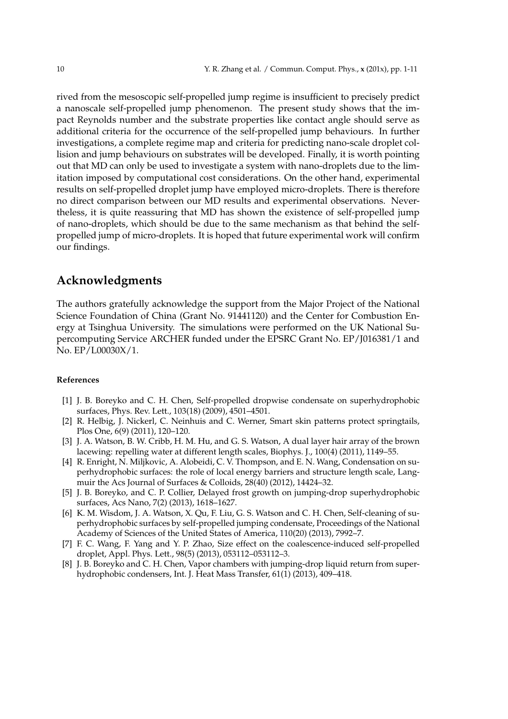rived from the mesoscopic self-propelled jump regime is insufficient to precisely predict a nanoscale self-propelled jump phenomenon. The present study shows that the impact Reynolds number and the substrate properties like contact angle should serve as additional criteria for the occurrence of the self-propelled jump behaviours. In further investigations, a complete regime map and criteria for predicting nano-scale droplet collision and jump behaviours on substrates will be developed. Finally, it is worth pointing out that MD can only be used to investigate a system with nano-droplets due to the limitation imposed by computational cost considerations. On the other hand, experimental results on self-propelled droplet jump have employed micro-droplets. There is therefore no direct comparison between our MD results and experimental observations. Nevertheless, it is quite reassuring that MD has shown the existence of self-propelled jump of nano-droplets, which should be due to the same mechanism as that behind the selfpropelled jump of micro-droplets. It is hoped that future experimental work will confirm our findings.

# **Acknowledgments**

The authors gratefully acknowledge the support from the Major Project of the National Science Foundation of China (Grant No. 91441120) and the Center for Combustion Energy at Tsinghua University. The simulations were performed on the UK National Supercomputing Service ARCHER funded under the EPSRC Grant No. EP/J016381/1 and No. EP/L00030X/1.

#### **References**

- [1] J. B. Boreyko and C. H. Chen, Self-propelled dropwise condensate on superhydrophobic surfaces, Phys. Rev. Lett., 103(18) (2009), 4501–4501.
- [2] R. Helbig, J. Nickerl, C. Neinhuis and C. Werner, Smart skin patterns protect springtails, Plos One, 6(9) (2011), 120–120.
- [3] J. A. Watson, B. W. Cribb, H. M. Hu, and G. S. Watson, A dual layer hair array of the brown lacewing: repelling water at different length scales, Biophys. J., 100(4) (2011), 1149–55.
- [4] R. Enright, N. Miljkovic, A. Alobeidi, C. V. Thompson, and E. N. Wang, Condensation on superhydrophobic surfaces: the role of local energy barriers and structure length scale, Langmuir the Acs Journal of Surfaces & Colloids, 28(40) (2012), 14424–32.
- [5] J. B. Boreyko, and C. P. Collier, Delayed frost growth on jumping-drop superhydrophobic surfaces, Acs Nano, 7(2) (2013), 1618–1627.
- [6] K. M. Wisdom, J. A. Watson, X. Qu, F. Liu, G. S. Watson and C. H. Chen, Self-cleaning of superhydrophobic surfaces by self-propelled jumping condensate, Proceedings of the National Academy of Sciences of the United States of America, 110(20) (2013), 7992–7.
- [7] F. C. Wang, F. Yang and Y. P. Zhao, Size effect on the coalescence-induced self-propelled droplet, Appl. Phys. Lett., 98(5) (2013), 053112–053112–3.
- [8] J. B. Boreyko and C. H. Chen, Vapor chambers with jumping-drop liquid return from superhydrophobic condensers, Int. J. Heat Mass Transfer, 61(1) (2013), 409–418.